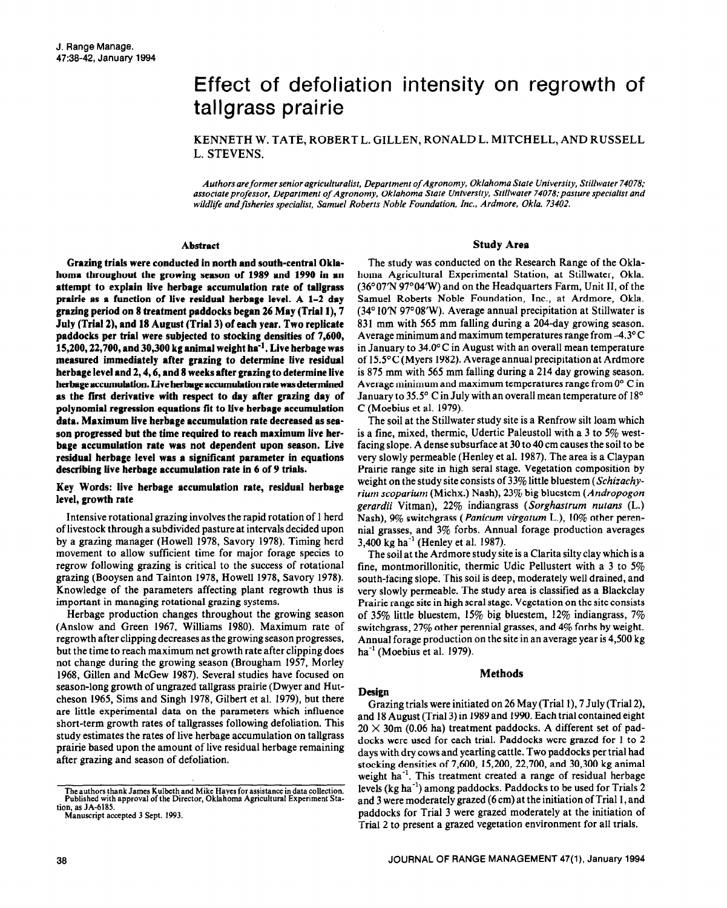# Effect of defoliation intensity on regrowth of tallgrass prairie

KENNETH W. TATE, ROBERT L. GILLEN, RONALD L. MITCHELL, AND RUSSELL L. STEVENS.

Authors are former senior agriculturalist, Department of Agronomy, Oklahoma State University, Stillwater 74078; associate *professor. Department of Agronomy, Oklahoma State University, Stillwater 74078;pasture specialist and wildlife andfisheries specialist, Samuel Roberts Noble Foundation, Inc., Ardmore, Okla. 73402.* 

#### **Abstract**

**Grazing trials were conducted in north and south-central Oklahoma throughout the growing season of 1989 and 1990 in an attempt to explain live herbage accumulation rate of tallgrass prairie as a function of live residual herbage level. A l-2 day grazing period on 8 treatment paddocks began 26 May (Trial l), 7 July (Trial 2), and 1% August (Trial 3) of each year. Two replicate paddocks per trial were subjected to stocking densities of 7,600, 15,200,22,700, and 30,300 kg animal weight ha-l. Live herbage was measured immediately after grazing to determine live residual herbage level and 2,4,6, and 8 weeks after grazing to determine live**  herbage accumulation. Live herbage accumulation rate was determined **as the first derivative with respect to day after grazing day of polynomial regression equations fit to live herbage accumulation data. Maximum live herbage accumulation rate decreased as season progressed but the time required to reach maximum live her**bage accumulation rate was not dependent upon season. Live **residual herbage level was a significant parameter in equations**  describing live herbage accumulation rate in 6 of 9 trials.

# **Key Words: live herbage accumulation rate, residual herbage level, growth rate**

Intensive rotational grazing involves the rapid rotation of 1 herd of livestock through a subdivided pasture at intervals decided upon by a grazing manager (Howell 1978, Savory 1978). Timing herd movement to allow sufficient time for major forage species to regrow following grazing is critical to the success of rotational grazing (Booysen and Tainton 1978, Howell 1978, Savory 1978). Knowledge of the parameters affecting plant regrowth thus is important in managing rotational grazing systems.

Herbage production changes throughout the growing season (Anslow and Green 1967, Williams 1980). Maximum rate of regrowth after clipping decreases as the growing season progresses, but the time to reach maximum net growth rate after clipping does not change during the growing season (Brougham 1957, Morley 1968, Gillen and McGew 1987). Several studies have focused on season-long growth of ungrazed tallgrass prairie (Dwyer and Hutcheson 1965, Sims and Singh 1978, Gilbert et al. 1979), but there are little experimental data on the parameters which influence short-term growth rates of tallgrasses following defoliation. This study estimates the rates of live herbage accumulation on tallgrass prairie based upon the amount of live residual herbage remaining after grazing and season of defoliation.

#### **Study Area**

The study was conducted on the Research Range of the Oklahoma Agricultural Experimental Station, at Stillwater, Okla. (36°07'N 97°04'W) and on the Headquarters Farm, Unit II, of the Samuel Roberts Noble Foundation, Inc., at Ardmore, Okla.  $(34^{\circ}10^{\circ}N)$  97°08′W). Average annual precipitation at Stillwater is 831 mm with 565 mm falling during a 204-day growing season. Average minimum and maximum temperatures range from  $-4.3^{\circ}$ C in January to 34.0°C in August with an overall mean temperature of 15.5°C (Myers 1982). Average annual precipitation at Ardmore is 875 mm with 565 mm falling during a 214 day growing season. Average minimum and maximum temperatures range from O" C in January to 35.5' C in July with **an** overall mean temperature of 18" C (Moebius et al. 1979).

The soil at the Stillwater study site is a Renfrow silt loam which is a fine, mixed, thermic, Udertic Paleustoll with a 3 to 5% westfacing slope. A dense subsurface at 30 to 40 cm causes the soil to be very slowly permeable (Henley et al. 1987). The area is a Claypan Prairie range site in high seral stage. Vegetation composition by weight on the study site consists of 33% little bluestem (Schizachy*rium scoparium* (Michx.) Nash), 23% big bluestem *(Andropogon gerardii* Vitman), 22% indiangrass *(Sorghustrum nutans* (L.) Nash), 9% switchgrass *(Panicum virgutum* L.), 10% other perennial grasses, and 3% forbs. Annual forage production averages 3,400 kg ha<sup>-1</sup> (Henley et al. 1987).

The soil at the Ardmore study site is a Clarita silty clay which is a fine, montmorillonitic, thermic Udic Pellustert with a 3 to 5% south-facing slope. This soil is deep, moderately well drained, and very slowly permeable. The study area is classified as a Blackclay Prairie range site in high seral stage. Vegetation on the site consists of 35% little bluestem, 15% big bluestem, 12% indiangrass,  $7\%$ switchgrass, 27% other perennial grasses, and 4% forbs by weight. Annual forage production on the site in an average year is 4,500 kg  $ha^{-1}$  (Moebius et al. 1979).

#### **Methods**

### **Design**

Grazing trials were initiated on 26 May (Trial l), 7 July (Trial 2), and 18 August (Trial 3) in 1989 and 1990. Each trial contained eight  $20 \times 30$ m (0.06 ha) treatment paddocks. A different set of paddocks were used for each trial. Paddocks were grazed for 1 **to** 2 days with dry cows and yearling cattle. Two paddocks per trial had stocking densities of 7,600, 15,200,22,700, and 30,300 kg animal weight ha<sup>-1</sup>. This treatment created a range of residual herbage levels (kg ha<sup>-1</sup>) among paddocks. Paddocks to be used for Trials 2 and 3 were moderately grazed (6 cm) at the initiation of Trial 1, and paddocks for Trial 3 were grazed moderately at the initiation of Trial 2 to present a grazed vegetation environment for all trials.

The authors thank James Kulbeth and Mike Hayes for assistance in data collection. Published with approval of the Director, Oklahoma Agricultural Experiment Station, as JA-6185.

Manuscript accepted 3 Sept. 1993.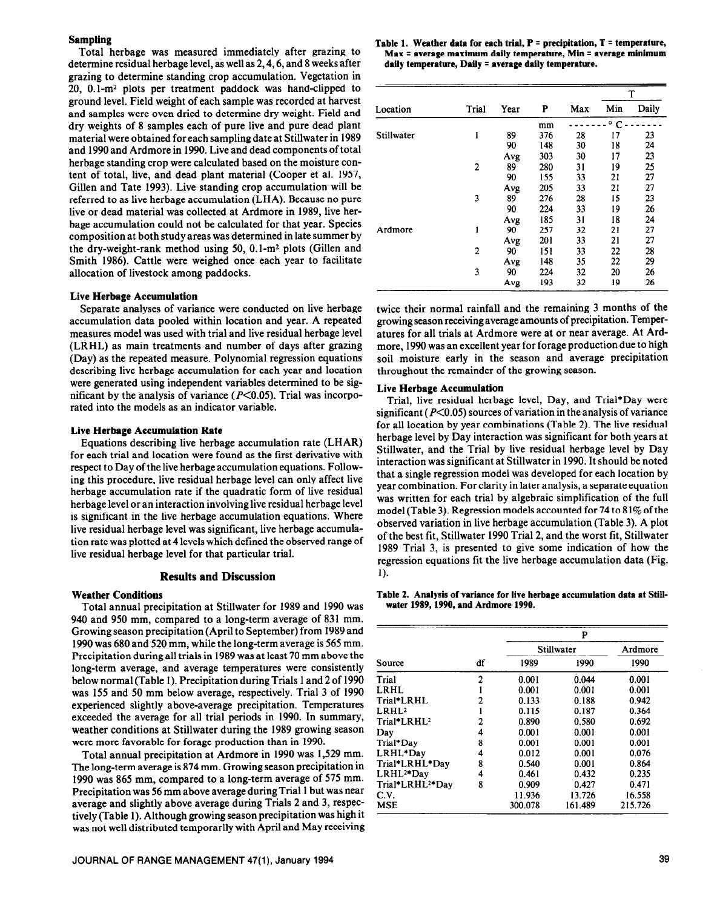## **Sampling**

Total herbage was measured immediately after grazing to determine residual herbage level, as well as 2,4,6, and 8 weeks after grazing to determine standing crop accumulation. Vegetation in 20, O.l-m2 plots per treatment paddock was hand-clipped to ground level. Field weight of each sample was recorded at harvest and samples were oven dried to determine dry weight. Field and dry weights of 8 samples each of pure live and pure dead plant material were obtained for each sampling date at Stillwater in 1989 and 1990 and Ardmore in 1990. Live and dead components of total herbage standing crop were calculated based on the moisture content of total, live, and dead plant material (Cooper et al. 1957, Gillen and Tate 1993). Live standing crop accumulation will be referred to as live herbage accumulation (LHA). Because no pure live or dead material was collected at Ardmore in 1989, live herbage accumulation could not be calculated for that year. Species composition at both study areas was determined in late summer by the dry-weight-rank method using 50,  $0.1$ -m<sup>2</sup> plots (Gillen and Smith 1986). Cattle were weighed once each year to facilitate allocation of livestock among paddocks.

#### **Live Herbage Accumulation**

Separate analyses of variance were conducted on live herbage accumulation data pooled within location and year. A repeated measures model was used with trial and live residual herbage level (LRHL) as main treatments and number of days after grazing (Day) as the repeated measure. Polynomial regression equations describing live herbage accumulation for each year and location were generated using independent variables determined to be significant by the analysis of variance ( $P<0.05$ ). Trial was incorporated into the models as an indicator variable.

## **Live Herbage Accumulation Rate**

Equations describing live herbage accumulation rate (LHAR) for each trial and location were found as the first derivative with respect to Day of the live herbage accumulation equations. Following this procedure, live residual herbage level can only affect live herbage accumulation rate if the quadratic form of live residual herbage level or an interaction involving live residual herbage level is significant in the live herbage accumulation equations. Where live residual herbage level was significant, live herbage accumulation rate was plotted at 4 levels which defined the observed range of live residual herbage level for that particular trial.

#### **Results and Discussion**

#### **Weather Conditions**

Total annual precipitation at Stillwater for 1989 and 1990 was 940 and 950 mm, compared to a long-term average of 831 mm. Growing season precipitation (April to September) from 1989 and 1990 was 680 and 520 mm, while the long-term average is 565 mm. Precipitation during all trials in 1989 was at least 70 mm above the long-term average, and average temperatures were consistently below normal (Table 1). Precipitation during Trials 1 and 2 of 1990 was 155 and 50 mm below average, respectively. Trial 3 of 1990 experienced slightly above-average precipitation. Temperatures exceeded the average for all trial periods in 1990. In summary, weather conditions at Stillwater during the 1989 growing season were more favorable for forage production than in 1990.

Total annual precipitation at Ardmore in 1990 was 1,529 mm. The long-term average is 874 mm. Growing season precipitation in 1990 was 865 mm, compared to a long-term average of 575 mm. Precipitation was 56 mm above average during Trial **1** but was near average and slightly above average during Trials 2 and 3, respectively (Table 1). Although growing season precipitation was high it was not well distributed temporarily with April and May receiving

#### Table 1. Weather data for each trial,  $P =$  precipitation,  $T =$  temperature, **Max = average maximum daily temperature, Min = average minimum daily temperature, Daily =** average **daily temperature.**

| Location   | Trial          | Year | P   | Max | T            |       |
|------------|----------------|------|-----|-----|--------------|-------|
|            |                |      |     |     | Min          | Daily |
|            |                |      | mm  |     | $^{\circ}$ C |       |
| Stillwater | 1              | 89   | 376 | 28  | 17           | 23    |
|            |                | 90   | 148 | 30  | 18           | 24    |
|            |                | Avg  | 303 | 30  | 17           | 23    |
|            | 2              | 89   | 280 | 31  | 19           | 25    |
|            |                | 90   | 155 | 33  | 21           | 27    |
|            |                | Avg  | 205 | 33  | 21           | 27    |
|            | 3              | 89   | 276 | 28  | 15           | 23    |
|            |                | 90   | 224 | 33  | 19           | 26    |
|            |                | Avg  | 185 | 31  | 18           | 24    |
| Ardmore    | ı              | 90   | 257 | 32  | 21           | 27    |
|            |                | Avg  | 201 | 33  | 21           | 27    |
|            | $\overline{2}$ | 90   | 151 | 33  | 22           | 28    |
|            |                | Avg  | 148 | 35  | 22           | 29    |
|            | 3              | 90   | 224 | 32  | 20           | 26    |
|            |                | Avg  | 193 | 32  | 19           | 26    |

twice their normal rainfall and the remaining 3 months of the growing season receiving average amounts of precipitation. Temperatures for all trials at Ardmore were at or near average. At Ardmore, 1990 was an excellent year for forage production due to high soil moisture early in the season and average precipitation throughout the remainder of the growing season.

## **Live Herbage Accumulation**

Trial, live residual herbage level, Day, and Trial\*Day were significant ( $P \le 0.05$ ) sources of variation in the analysis of variance for all location by year combinations (Table 2). The live residual herbage level by Day interaction was significant for both years at Stillwater, and the Trial by live residual herbage level by Day interaction was significant at Stillwater in 1990. It should be noted that a single regression model was developed for each location by year combination. For clarity in later analysis, a separate equation was written for each trial by algebraic simplification of the full model (Table 3). Regression models accounted for  $74$  to  $81\%$  of the observed variation in live herbage accumulation (Table 3). A plot of the best fit, Stillwater 1990 Trial 2, and the worst fit, Stillwater 1989 Trial 3, is presented to give some indication of how the regression equations fit the live herbage accumulation data (Fig. 1).

**Table 2. Analysis of variance for live herbage accumulation data at Stillwater 1989,1990, and Ardmore 1990.** 

|                              |    | P          |         |         |  |  |  |
|------------------------------|----|------------|---------|---------|--|--|--|
|                              |    | Stillwater | Ardmore |         |  |  |  |
| Source                       | df | 1989       | 1990    | 1990    |  |  |  |
| Trial                        | 2  | 0.001      | 0.044   | 0.001   |  |  |  |
| LRHL.                        |    | 0.001      | 0.001   | 0.001   |  |  |  |
| Trial*LRHL                   | 2  | 0.133      | 0.188   | 0.942   |  |  |  |
| LRHL <sup>2</sup>            |    | 0.115      | 0.187   | 0.364   |  |  |  |
| Trial*LRHL <sup>2</sup>      | 2  | 0.890      | 0.580   | 0.692   |  |  |  |
| Day                          | 4  | 0.001      | 0.001   | 0.001   |  |  |  |
| Trial*Day                    | 8  | 0.001      | 0.001   | 0.001   |  |  |  |
| LRHL*Day                     | 4  | 0.012      | 0.001   | 0.076   |  |  |  |
| Trial*LRHL*Day               | 8  | 0.540      | 0.001   | 0.864   |  |  |  |
| LRHL <sup>2*</sup> Day       | 4  | 0.461      | 0.432   | 0.235   |  |  |  |
| Trial*LRHL <sup>2*</sup> Day | 8  | 0.909      | 0.427   | 0.471   |  |  |  |
| C.V.                         |    | 11.936     | 13.726  | 16.558  |  |  |  |
| <b>MSE</b>                   |    | 300.078    | 161.489 | 215.726 |  |  |  |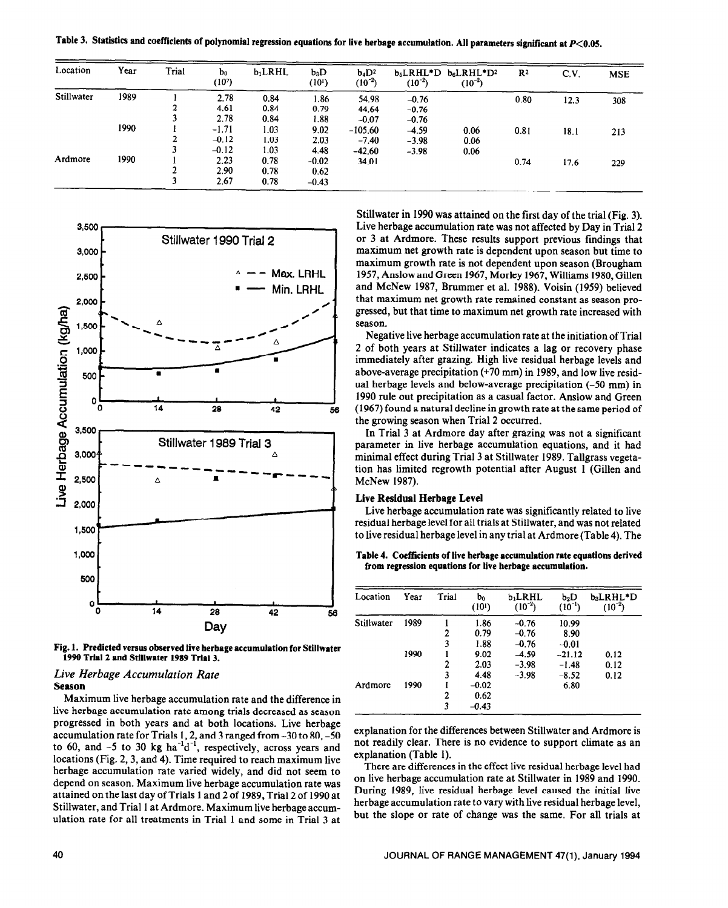Table 3. Statistics and coefficients of polynomial regression equations for live herbage accumulation. All parameters significant at  $P<0.05$ .

| Location           | Year | Trial | b <sub>0</sub><br>(10 <sup>2</sup> ) | $b_1$ LRHL   | $b_3D$<br>(101) | $b_4D^2$<br>$(10^{-2})$ | $(10^{-2})$        | $b_5LRHL^*D b_6LRHL^*D^2$<br>$(10^{-2})$ | R <sup>2</sup> | C.V. | <b>MSE</b> |
|--------------------|------|-------|--------------------------------------|--------------|-----------------|-------------------------|--------------------|------------------------------------------|----------------|------|------------|
| Stillwater<br>1989 |      |       | 2.78<br>4.61                         | 0.84<br>0.84 | 1.86<br>0.79    | 54.98<br>44.64          | $-0.76$<br>$-0.76$ |                                          | 0.80           | 12.3 | 308        |
|                    |      |       | 2.78                                 | 0.84         | 1.88            | $-0.07$                 | $-0.76$            |                                          |                |      |            |
|                    | 1990 |       | $-1.71$<br>$-0.12$                   | 1.03<br>1.03 | 9.02<br>2.03    | $-105.60$<br>$-7.40$    | $-4.59$<br>$-3.98$ | 0.06<br>0.06                             | 0.81           | 18.1 | 213        |
|                    |      |       | $-0.12$                              | 1.03         | 4.48            | $-42.60$                | $-3.98$            | 0.06                                     |                |      |            |
| Ardmore            | 1990 |       | 2.23<br>2.90                         | 0.78<br>0.78 | $-0.02$<br>0.62 | 34.01                   |                    |                                          | 0.74           | 17.6 | 229        |
|                    |      |       | 2.67                                 | 0.78         | $-0.43$         |                         |                    |                                          |                |      |            |



Fig. 1. Predicted versus observed live herbage accumulation for Stillwater 1990 Trial 2 and Stillwater 1989 Trial 3.

# Live Herbage Accumulation Rate **Season**

Maximum live herbage accumulation rate and the difference in live herbage accumulation rate among trials decreased as season progressed in both years and at both locations. Live herbage accumulation rate for Trials 1, 2, and 3 ranged from  $-30$  to 80,  $-50$ to 60, and -5 to 30 kg ha<sup>-1</sup> $d^{-1}$ , respectively, across years and locations (Fig. 2, 3, and 4). Time required to reach maximum live herbage accumulation rate varied widely, and did not seem to depend on season. Maximum live herbage accumulation rate was attained on the last day of Trials 1 and 2 of 1989, Trial 2 of 1990 at Stillwater, and Trial 1 at Ardmore. Maximum live herbage accumulation rate for all treatments in Trial 1 and some in Trial 3 at Stillwater in 1990 was attained on the first day of the trial (Fig. 3). Live herbage accumulation rate was not affected by Day in Trial 2 or 3 at Ardmore. These results support previous findings that maximum net growth rate is dependent upon season but time to maximum growth rate is not dependent upon season (Brougham 1957, Anslow and Green 1967, Morley 1967, Williams 1980, Gillen and McNew 1987, Brummer et al. 1988). Voisin (1959) believed that maximum net growth rate remained constant as season progressed, but that time to maximum net growth rate increased with season.

Negative live herbage accumulation rate at the initiation of Trial 2 of both years at Stillwater indicates a lag or recovery phase immediately after grazing. High live residual herbage levels and above-average precipitation  $(+70 \text{ mm})$  in 1989, and low live residual herbage levels and below-average precipitation  $(-50 \text{ mm})$  in 1990 rule out precipitation as a casual factor. Anslow and Green (1967) found a natural decline in growth rate at the same period of the growing season when Trial 2 occurred.

In Trial 3 at Ardmore day after grazing was not a significant parameter in live herbage accumulation equations, and it had minimal effect during Trial 3 at Stillwater 1989. Tallgrass vegetation has limited regrowth potential after August 1 (Gillen and McNew 1987).

## Live Residual Herbage Level

Live herbage accumulation rate was significantly related to live residual herbage level for all trials at Stillwater, and was not related to live residual herbage level in any trial at Ardmore (Table 4). The

Table 4. Coefficients of live herbage accumulation rate equations derived from regression equations for live herbage accumulation.

| Location   | Year | Trial | $\mathbf{b}_0$<br>(101) | b <sub>1</sub> LRHL<br>$(10^{-2})$ | $b_2D$<br>$(10^{-1})$ | b3LRHL*D<br>$(10^{-2})$ |
|------------|------|-------|-------------------------|------------------------------------|-----------------------|-------------------------|
| Stillwater | 1989 |       | 1.86                    | $-0.76$                            | 10.99                 |                         |
|            |      | 2     | 0.79                    | $-0.76$                            | 8.90                  |                         |
|            |      | 3     | 1.88                    | $-0.76$                            | $-0.01$               |                         |
|            | 1990 |       | 9.02                    | -4.59                              | $-21.12$              | 0.12                    |
|            |      | 2     | 2.03                    | $-3.98$                            | $-1.48$               | 0.12                    |
|            |      | 3     | 4.48                    | $-3.98$                            | $-8.52$               | 0.12                    |
| Ardmore    | 1990 |       | $-0.02$                 |                                    | 6.80                  |                         |
|            |      | 2     | 0.62                    |                                    |                       |                         |
|            |      | 3     | $-0.43$                 |                                    |                       |                         |

explanation for the differences between Stillwater and Ardmore is not readily clear. There is no evidence to support climate as an explanation (Table 1).

There are differences in the effect live residual herbage level had on live herbage accumulation rate at Stillwater in 1989 and 1990. During 1989, live residual herbage level caused the initial live herbage accumulation rate to vary with live residual herbage level, but the slope or rate of change was the same. For all trials at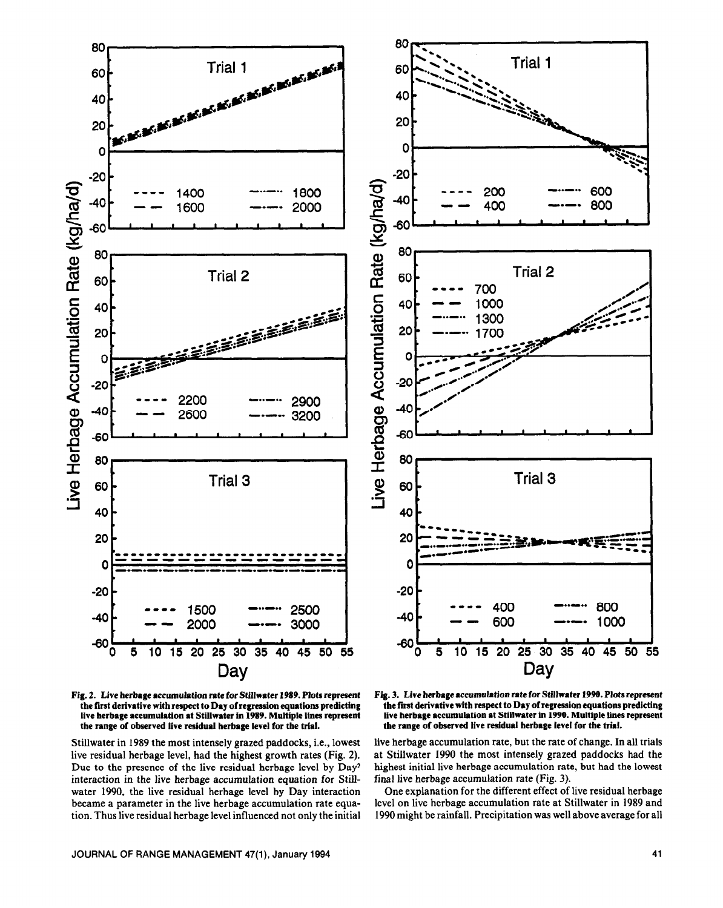



Stillwater in 1989 the most intensely grazed paddocks, i.e., lowest live residual herbage level, had the highest growth rates (Fig. 2). Due to the presence of the live residual herbage level by Day2 interaction in the live herbage accumulation equation for Stillwater 1990, the live residual herbage level by Day interaction became a parameter in the live herbage accumulation rate equation. Thus live residual herbage level influenced not only the initial





live herbage accumulation rate, but the rate of change. In all trials at Stillwater 1990 the most intensely grazed paddocks had the highest initial live herbage accumulation rate, but had the lowest final live herbage accumulation rate (Fig. 3).

One explanation for the different effect of live residual herbage level on live herbage accumulation rate at Stillwater in 1989 and 1990 might be rainfall. Precipitation was well above average for all